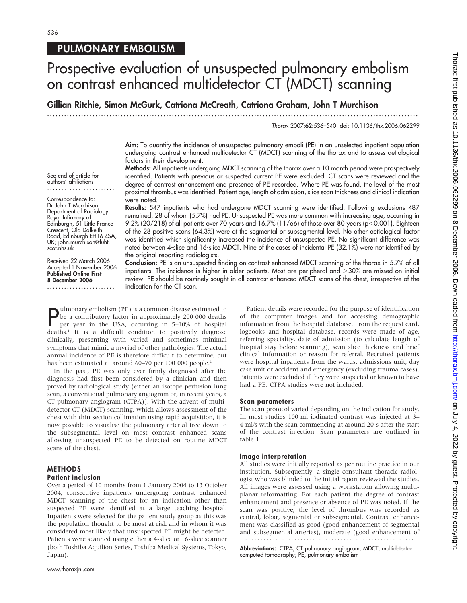### PULMONARY EMBOLISM

# Prospective evaluation of unsuspected pulmonary embolism on contrast enhanced multidetector CT (MDCT) scanning

Gillian Ritchie, Simon McGurk, Catriona McCreath, Catriona Graham, John T Murchison

...................................................................................................................................

Thorax 2007;62:536–540. doi: 10.1136/thx.2006.062299

Aim: To quantify the incidence of unsuspected pulmonary emboli (PE) in an unselected inpatient population undergoing contrast enhanced multidetector CT (MDCT) scanning of the thorax and to assess aetiological factors in their development.

See end of article for authors' affiliations ........................

Correspondence to: Dr John T Murchison, Department of Radiology, Royal Infirmary of Edinburgh, 51 Little France Crescent, Old Dalkeith Road, Edinburgh EH16 4SA, UK; john.murchison@luht. scot.nhs.uk

Received 22 March 2006 Accepted 1 November 2006 Published Online First 8 December 2006

........................

Methods: All inpatients undergoing MDCT scanning of the thorax over a 10 month period were prospectively identified. Patients with previous or suspected current PE were excluded. CT scans were reviewed and the degree of contrast enhancement and presence of PE recorded. Where PE was found, the level of the most proximal thrombus was identified. Patient age, length of admission, slice scan thickness and clinical indication were noted.

Results: 547 inpatients who had undergone MDCT scanning were identified. Following exclusions 487 remained, 28 of whom (5.7%) had PE. Unsuspected PE was more common with increasing age, occurring in 9.2% (20/218) of all patients over 70 years and 16.7% (11/66) of those over 80 years (p<0.001). Eighteen of the 28 positive scans (64.3%) were at the segmental or subsegmental level. No other aetiological factor was identified which significantly increased the incidence of unsuspected PE. No significant difference was noted between 4-slice and 16-slice MDCT. Nine of the cases of incidental PE (32.1%) were not identified by the original reporting radiologists.

Conclusion: PE is an unsuspected finding on contrast enhanced MDCT scanning of the thorax in 5.7% of all inpatients. The incidence is higher in older patients. Most are peripheral and >30% are missed on initial review. PE should be routinely sought in all contrast enhanced MDCT scans of the chest, irrespective of the indication for the CT scan.

**P** lumonary embolism (PE) is a common disease estimated to<br>be a contributory factor in approximately 200 000 deaths<br>deaths 1 It is n difficult condition to 5–10% of hospital ulmonary embolism (PE) is a common disease estimated to per year in the USA, occurring in 5–10% of hospital deaths.1 It is a difficult condition to positively diagnose clinically, presenting with varied and sometimes minimal symptoms that mimic a myriad of other pathologies. The actual annual incidence of PE is therefore difficult to determine, but has been estimated at around 60–70 per 100 000 people.<sup>2</sup>

In the past, PE was only ever firmly diagnosed after the diagnosis had first been considered by a clinician and then proved by radiological study (either an isotope perfusion lung scan, a conventional pulmonary angiogram or, in recent years, a CT pulmonary angiogram (CTPA)). With the advent of multidetector CT (MDCT) scanning, which allows assessment of the chest with thin section collimation using rapid acquisition, it is now possible to visualise the pulmonary arterial tree down to the subsegmental level on most contrast enhanced scans allowing unsuspected PE to be detected on routine MDCT scans of the chest.

#### **METHODS**

#### Patient inclusion

Over a period of 10 months from 1 January 2004 to 13 October 2004, consecutive inpatients undergoing contrast enhanced MDCT scanning of the chest for an indication other than suspected PE were identified at a large teaching hospital. Inpatients were selected for the patient study group as this was the population thought to be most at risk and in whom it was considered most likely that unsuspected PE might be detected. Patients were scanned using either a 4-slice or 16-slice scanner (both Toshiba Aquilion Series, Toshiba Medical Systems, Tokyo, Japan).

Patient details were recorded for the purpose of identification of the computer images and for accessing demographic information from the hospital database. From the request card, logbooks and hospital database, records were made of age, referring speciality, date of admission (to calculate length of hospital stay before scanning), scan slice thickness and brief clinical information or reason for referral. Recruited patients were hospital inpatients from the wards, admissions unit, day case unit or accident and emergency (excluding trauma cases). Patients were excluded if they were suspected or known to have had a PE. CTPA studies were not included.

#### Scan parameters

The scan protocol varied depending on the indication for study. In most studies 100 ml iodinated contrast was injected at 3– 4 ml/s with the scan commencing at around 20 s after the start of the contrast injection. Scan parameters are outlined in table 1.

#### Image interpretation

All studies were initially reported as per routine practice in our institution. Subsequently, a single consultant thoracic radiologist who was blinded to the initial report reviewed the studies. All images were assessed using a workstation allowing multiplanar reformatting. For each patient the degree of contrast enhancement and presence or absence of PE was noted. If the scan was positive, the level of thrombus was recorded as central, lobar, segmental or subsegmental. Contrast enhancement was classified as good (good enhancement of segmental and subsegmental arteries), moderate (good enhancement of

Abbreviations: CTPA, CT pulmonary angiogram; MDCT, multidetector computed tomography; PE, pulmonary embolism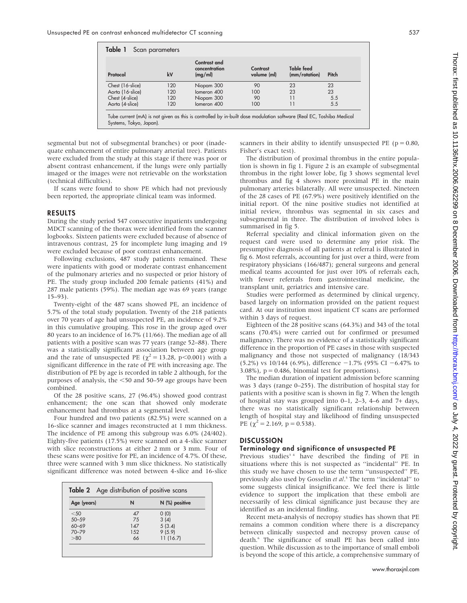| Protocol         | k٧  | Contrast and<br>concentration<br>(mg/ml) | Contrast<br>volume (ml) | <b>Table feed</b><br>(mm/rotation) | Pitch |
|------------------|-----|------------------------------------------|-------------------------|------------------------------------|-------|
| Chest (16-slice) | 120 | Niopam 300                               | 90                      | 23                                 | 23    |
| Aorta (16-slice) | 120 | Iomeron 400                              | 100                     | 23                                 | 23    |
| Chest (4-slice)  | 120 | Niopam 300                               | 90                      |                                    | 5.5   |
| Aorta (4-slice)  | 120 | lomeron 400                              | 100                     |                                    | 5.5   |

Systems, Tokyo, Japan).

segmental but not of subsegmental branches) or poor (inadequate enhancement of entire pulmonary arterial tree). Patients were excluded from the study at this stage if there was poor or absent contrast enhancement, if the lungs were only partially imaged or the images were not retrievable on the workstation (technical difficulties).

If scans were found to show PE which had not previously been reported, the appropriate clinical team was informed.

#### RESULTS

During the study period 547 consecutive inpatients undergoing MDCT scanning of the thorax were identified from the scanner logbooks. Sixteen patients were excluded because of absence of intravenous contrast, 25 for incomplete lung imaging and 19 were excluded because of poor contrast enhancement.

Following exclusions, 487 study patients remained. These were inpatients with good or moderate contrast enhancement of the pulmonary arteries and no suspected or prior history of PE. The study group included 200 female patients (41%) and 287 male patients (59%). The median age was 69 years (range 15–93).

Twenty-eight of the 487 scans showed PE, an incidence of 5.7% of the total study population. Twenty of the 218 patients over 70 years of age had unsuspected PE, an incidence of 9.2% in this cumulative grouping. This rose in the group aged over 80 years to an incidence of 16.7% (11/66). The median age of all patients with a positive scan was 77 years (range 52–88). There was a statistically significant association between age group and the rate of unsuspected PE ( $\chi^2$  = 13.28, p<0.001) with a significant difference in the rate of PE with increasing age. The distribution of PE by age is recorded in table 2 although, for the purposes of analysis, the  $<$  50 and 50–59 age groups have been combined.

Of the 28 positive scans, 27 (96.4%) showed good contrast enhancement; the one scan that showed only moderate enhancement had thrombus at a segmental level.

Four hundred and two patients (82.5%) were scanned on a 16-slice scanner and images reconstructed at 1 mm thickness. The incidence of PE among this subgroup was 6.0% (24/402). Eighty-five patients (17.5%) were scanned on a 4-slice scanner with slice reconstructions at either 2 mm or 3 mm. Four of these scans were positive for PE, an incidence of 4.7%. Of these, three were scanned with 3 mm slice thickness. No statistically significant difference was noted between 4-slice and 16-slice

| Age (years) | N          | N (%) positive |  |
|-------------|------------|----------------|--|
| $<$ 50      | $\Delta$ 7 | (0)            |  |
| $50 - 59$   | 75         | 3(4)           |  |
| $60 - 69$   | 147        | 5(3.4)         |  |
| $70 - 79$   | 152        | 9(5.9)         |  |
| > 80        | 66         | 11(16.7)       |  |

scanners in their ability to identify unsuspected PE ( $p = 0.80$ , Fisher's exact test).

The distribution of proximal thrombus in the entire population is shown in fig 1. Figure 2 is an example of subsegmental thrombus in the right lower lobe, fig 3 shows segmental level thrombus and fig 4 shows more proximal PE in the main pulmonary arteries bilaterally. All were unsuspected. Nineteen of the 28 cases of PE (67.9%) were positively identified on the initial report. Of the nine positive studies not identified at initial review, thrombus was segmental in six cases and subsegmental in three. The distribution of involved lobes is summarised in fig 5.

Referral speciality and clinical information given on the request card were used to determine any prior risk. The presumptive diagnosis of all patients at referral is illustrated in fig 6. Most referrals, accounting for just over a third, were from respiratory physicians (166/487); general surgeons and general medical teams accounted for just over 10% of referrals each, with fewer referrals from gastrointestinal medicine, the transplant unit, geriatrics and intensive care.

Studies were performed as determined by clinical urgency, based largely on information provided on the patient request card. At our institution most inpatient CT scans are performed within 3 days of request.

Eighteen of the 28 positive scans (64.3%) and 343 of the total scans (70.4%) were carried out for confirmed or presumed malignancy. There was no evidence of a statistically significant difference in the proportion of PE cases in those with suspected malignancy and those not suspected of malignancy (18/343  $(5.2\%)$  vs 10/144 (6.9%), difference  $-1.7\%$  (95% CI  $-6.47\%$  to 3.08%),  $p = 0.486$ , binomial test for proportions).

The median duration of inpatient admission before scanning was 3 days (range 0–255). The distribution of hospital stay for patients with a positive scan is shown in fig 7. When the length of hospital stay was grouped into 0–1, 2–3, 4–6 and 7+ days, there was no statistically significant relationship between length of hospital stay and likelihood of finding unsuspected PE  $(\chi^2 = 2.169, p = 0.538)$ .

#### **DISCUSSION**

#### Terminology and significance of unsuspected PE

Previous studies<sup>34</sup> have described the finding of PE in situations where this is not suspected as ''incidental'' PE. In this study we have chosen to use the term ''unsuspected'' PE, previously also used by Gosselin et al.<sup>5</sup> The term "incidental" to some suggests clinical insignificance. We feel there is little evidence to support the implication that these emboli are necessarily of less clinical significance just because they are identified as an incidental finding.

Recent meta-analysis of necropsy studies has shown that PE remains a common condition where there is a discrepancy between clinically suspected and necropsy proven cause of death.6 The significance of small PE has been called into question. While discussion as to the importance of small emboli is beyond the scope of this article, a comprehensive summary of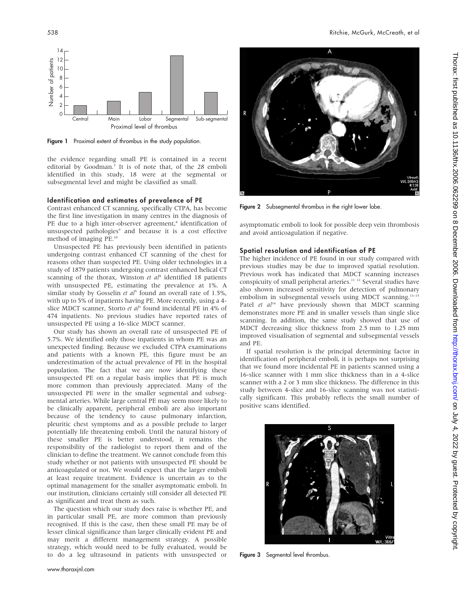

Figure 1 Proximal extent of thrombus in the study population.

the evidence regarding small PE is contained in a recent editorial by Goodman.7 It is of note that, of the 28 emboli identified in this study, 18 were at the segmental or subsegmental level and might be classified as small.

#### Identification and estimates of prevalence of PE

Contrast enhanced CT scanning, specifically CTPA, has become the first line investigation in many centres in the diagnosis of PE due to a high inter-observer agreement,<sup>8</sup> identification of unsuspected pathologies<sup>9</sup> and because it is a cost effective method of imaging PE.10

Unsuspected PE has previously been identified in patients undergoing contrast enhanced CT scanning of the chest for reasons other than suspected PE. Using older technologies in a study of 1879 patients undergoing contrast enhanced helical CT scanning of the thorax, Winston et  $al<sup>4</sup>$  identified 18 patients with unsuspected PE, estimating the prevalence at 1%. A similar study by Gosselin et  $a<sup>j</sup>$  found an overall rate of 1.5%, with up to 5% of inpatients having PE. More recently, using a 4 slice MDCT scanner, Storto et al<sup>3</sup> found incidental PE in 4% of 474 inpatients. No previous studies have reported rates of unsuspected PE using a 16-slice MDCT scanner.

Our study has shown an overall rate of unsuspected PE of 5.7%. We identified only those inpatients in whom PE was an unexpected finding. Because we excluded CTPA examinations and patients with a known PE, this figure must be an underestimation of the actual prevalence of PE in the hospital population. The fact that we are now identifying these unsuspected PE on a regular basis implies that PE is much more common than previously appreciated. Many of the unsuspected PE were in the smaller segmental and subsegmental arteries. While large central PE may seem more likely to be clinically apparent, peripheral emboli are also important because of the tendency to cause pulmonary infarction, pleuritic chest symptoms and as a possible prelude to larger potentially life threatening emboli. Until the natural history of these smaller PE is better understood, it remains the responsibility of the radiologist to report them and of the clinician to define the treatment. We cannot conclude from this study whether or not patients with unsuspected PE should be anticoagulated or not. We would expect that the larger emboli at least require treatment. Evidence is uncertain as to the optimal management for the smaller asymptomatic emboli. In our institution, clinicians certainly still consider all detected PE as significant and treat them as such.

The question which our study does raise is whether PE, and in particular small PE, are more common than previously recognised. If this is the case, then these small PE may be of lesser clinical significance than larger clinically evident PE and may merit a different management strategy. A possible strategy, which would need to be fully evaluated, would be to do a leg ultrasound in patients with unsuspected or



Figure 2 Subsegmental thrombus in the right lower lobe.

asymptomatic emboli to look for possible deep vein thrombosis and avoid anticoagulation if negative.

#### Spatial resolution and identification of PE

The higher incidence of PE found in our study compared with previous studies may be due to improved spatial resolution. Previous work has indicated that MDCT scanning increases conspicuity of small peripheral arteries.<sup>11-12</sup> Several studies have also shown increased sensitivity for detection of pulmonary embolism in subsegmental vessels using MDCT scanning.<sup>13-15</sup> Patel et  $al^{16}$  have previously shown that MDCT scanning demonstrates more PE and in smaller vessels than single slice scanning. In addition, the same study showed that use of MDCT decreasing slice thickness from 2.5 mm to 1.25 mm improved visualisation of segmental and subsegmental vessels and PE.

If spatial resolution is the principal determining factor in identification of peripheral emboli, it is perhaps not surprising that we found more incidental PE in patients scanned using a 16-slice scanner with 1 mm slice thickness than in a 4-slice scanner with a 2 or 3 mm slice thickness. The difference in this study between 4-slice and 16-slice scanning was not statistically significant. This probably reflects the small number of positive scans identified.



Figure 3 Segmental level thrombus.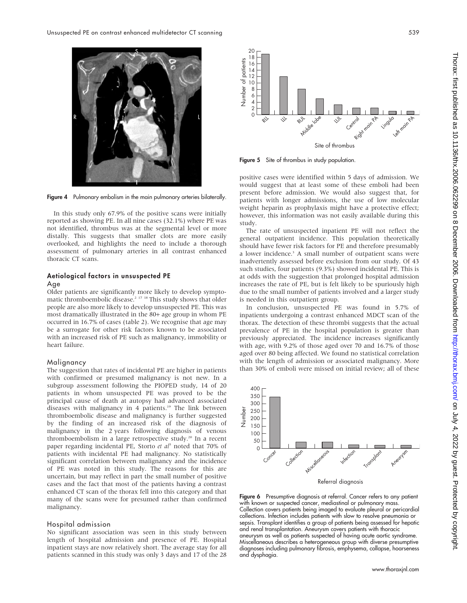



Figure 5 Site of thrombus in study population.

Figure 4 Pulmonary embolism in the main pulmonary arteries bilaterally.

In this study only 67.9% of the positive scans were initially reported as showing PE. In all nine cases (32.1%) where PE was not identified, thrombus was at the segmental level or more distally. This suggests that smaller clots are more easily overlooked, and highlights the need to include a thorough assessment of pulmonary arteries in all contrast enhanced thoracic CT scans.

## Aetiological factors in unsuspected PE

#### Age

Older patients are significantly more likely to develop symptomatic thromboembolic disease.<sup>2 17 18</sup> This study shows that older people are also more likely to develop unsuspected PE. This was most dramatically illustrated in the 80+ age group in whom PE occurred in 16.7% of cases (table 2). We recognise that age may be a surrogate for other risk factors known to be associated with an increased risk of PE such as malignancy, immobility or heart failure.

#### Malignancy

The suggestion that rates of incidental PE are higher in patients with confirmed or presumed malignancy is not new. In a subgroup assessment following the PIOPED study, 14 of 20 patients in whom unsuspected PE was proved to be the principal cause of death at autopsy had advanced associated diseases with malignancy in 4 patients.<sup>19</sup> The link between thromboembolic disease and malignancy is further suggested by the finding of an increased risk of the diagnosis of malignancy in the 2 years following diagnosis of venous thromboembolism in a large retrospective study.20 In a recent paper regarding incidental PE, Storto et  $al^3$  noted that 70% of patients with incidental PE had malignancy. No statistically significant correlation between malignancy and the incidence of PE was noted in this study. The reasons for this are uncertain, but may reflect in part the small number of positive cases and the fact that most of the patients having a contrast enhanced CT scan of the thorax fell into this category and that many of the scans were for presumed rather than confirmed malignancy.

#### Hospital admission

No significant association was seen in this study between length of hospital admission and presence of PE. Hospital inpatient stays are now relatively short. The average stay for all patients scanned in this study was only 3 days and 17 of the 28 positive cases were identified within 5 days of admission. We would suggest that at least some of these emboli had been present before admission. We would also suggest that, for patients with longer admissions, the use of low molecular weight heparin as prophylaxis might have a protective effect; however, this information was not easily available during this study.

The rate of unsuspected inpatient PE will not reflect the general outpatient incidence. This population theoretically should have fewer risk factors for PE and therefore presumably a lower incidence.<sup>3</sup> A small number of outpatient scans were inadvertently assessed before exclusion from our study. Of 43 such studies, four patients (9.3%) showed incidental PE. This is at odds with the suggestion that prolonged hospital admission increases the rate of PE, but is felt likely to be spuriously high due to the small number of patients involved and a larger study is needed in this outpatient group.

In conclusion, unsuspected PE was found in 5.7% of inpatients undergoing a contrast enhanced MDCT scan of the thorax. The detection of these thrombi suggests that the actual prevalence of PE in the hospital population is greater than previously appreciated. The incidence increases significantly with age, with 9.2% of those aged over 70 and 16.7% of those aged over 80 being affected. We found no statistical correlation with the length of admission or associated malignancy. More than 30% of emboli were missed on initial review; all of these



Referral diagnosis

Figure 6 Presumptive diagnosis at referral. Cancer refers to any patient with known or suspected cancer, mediastinal or pulmonary mass. Collection covers patients being imaged to evaluate pleural or pericardial collections. Infection includes patients with slow to resolve pneumonia or sepsis. Transplant identifies a group of patients being assessed for hepatic and renal transplantation. Aneurysm covers patients with thoracic aneurysm as well as patients suspected of having acute aortic syndrome. Miscellaneous describes a heterogeneous group with diverse presumptive diagnoses including pulmonary fibrosis, emphysema, collapse, hoarseness and dysphagia.